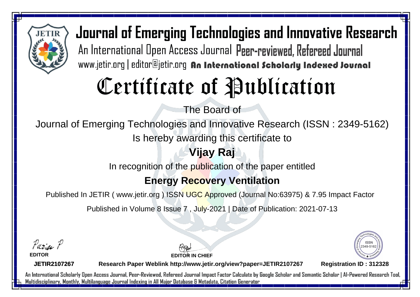

# Certificate of Publication

The Board of

Journal of Emerging Technologies and Innovative Research (ISSN : 2349-5162)

Is hereby awarding this certificate to

## **Vijay Raj**

In recognition of the publication of the paper entitled

### **Energy Recovery Ventilation**

Published In JETIR ( www.jetir.org ) ISSN UGC Approved (Journal No: 63975) & 7.95 Impact Factor

Published in Volume 8 Issue 7 , July-2021 | Date of Publication: 2021-07-13

Paris P

**EDITOR**

**EDITOR IN CHIEF**



**JETIR2107267**

**Research Paper Weblink http://www.jetir.org/view?paper=JETIR2107267 Registration ID : 312328**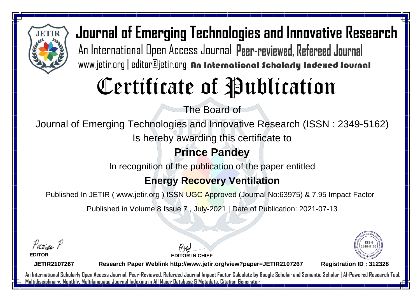

# Certificate of Publication

The Board of

Journal of Emerging Technologies and Innovative Research (ISSN : 2349-5162)

Is hereby awarding this certificate to

### **Prince Pandey**

In recognition of the publication of the paper entitled

### **Energy Recovery Ventilation**

Published In JETIR ( www.jetir.org ) ISSN UGC Approved (Journal No: 63975) & 7.95 Impact Factor

Published in Volume 8 Issue 7 , July-2021 | Date of Publication: 2021-07-13

Parin P

**EDITOR**

**EDITOR IN CHIEF**



**JETIR2107267**

**Research Paper Weblink http://www.jetir.org/view?paper=JETIR2107267 Registration ID : 312328**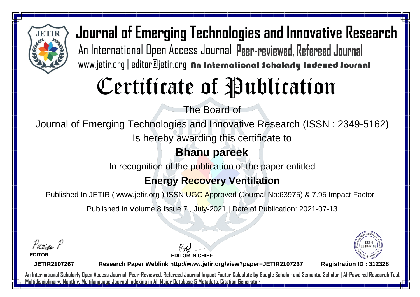

# Certificate of Publication

The Board of

Journal of Emerging Technologies and Innovative Research (ISSN : 2349-5162)

Is hereby awarding this certificate to

#### **Bhanu pareek**

In recognition of the publication of the paper entitled

### **Energy Recovery Ventilation**

Published In JETIR ( www.jetir.org ) ISSN UGC Approved (Journal No: 63975) & 7.95 Impact Factor

Published in Volume 8 Issue 7 , July-2021 | Date of Publication: 2021-07-13

Parin P

**EDITOR**

**EDITOR IN CHIEF**



**JETIR2107267**

**Research Paper Weblink http://www.jetir.org/view?paper=JETIR2107267 Registration ID : 312328**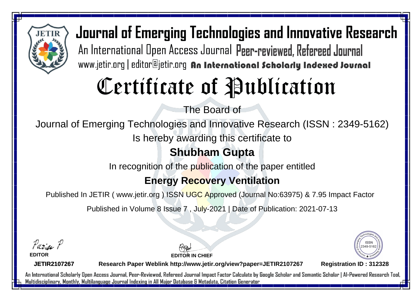

# Certificate of Publication

The Board of

Journal of Emerging Technologies and Innovative Research (ISSN : 2349-5162)

Is hereby awarding this certificate to

### **Shubham Gupta**

In recognition of the publication of the paper entitled

### **Energy Recovery Ventilation**

Published In JETIR ( www.jetir.org ) ISSN UGC Approved (Journal No: 63975) & 7.95 Impact Factor

Published in Volume 8 Issue 7 , July-2021 | Date of Publication: 2021-07-13

Parin P

**EDITOR**

**EDITOR IN CHIEF**



**JETIR2107267**

**Research Paper Weblink http://www.jetir.org/view?paper=JETIR2107267 Registration ID : 312328**